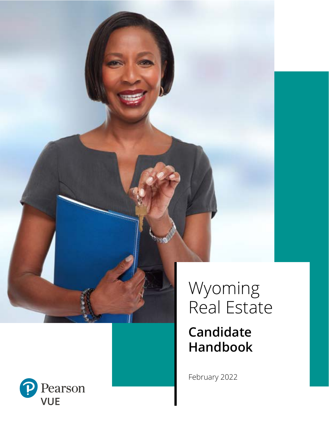

# Wyoming Real Estate

## **Candidate Handbook**

February 2022

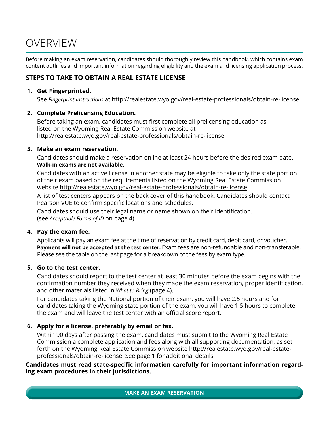## OVERVIEW

Before making an exam reservation, candidates should thoroughly review this handbook, which contains exam content outlines and important information regarding eligibility and the exam and licensing application process.

## **STEPS TO TAKE TO OBTAIN A REAL ESTATE LICENSE**

## **1. Get Fingerprinted.**

See *Fingerprint Instructions* at http://realestate.wyo.gov/real-estate-professionals/obtain-re-license.

## **2. Complete Prelicensing Education.**

Before taking an exam, candidates must first complete all prelicensing education as listed on the Wyoming Real Estate Commission website at http://realestate.wyo.gov/real-estate-professionals/obtain-re-license.

## **3. Make an exam reservation.**

Candidates should make a reservation online at least 24 hours before the desired exam date. **Walk-in exams are not available.**

Candidates with an active license in another state may be eligible to take only the state portion of their exam based on the requirements listed on the Wyoming Real Estate Commission website http://realestate.wyo.gov/real-estate-professionals/obtain-re-license.

A list of test centers appears on the back cover of this handbook. Candidates should contact Pearson VUE to confirm specific locations and schedules.

Candidates should use their legal name or name shown on their identification. (see *Acceptable Forms of ID* on page 4).

## **4. Pay the exam fee.**

Applicants will pay an exam fee at the time of reservation by credit card, debit card, or voucher. **Payment will not be accepted at the test center.** Exam fees are non-refundable and non-transferable. Please see the table on the last page for a breakdown of the fees by exam type.

## **5. Go to the test center.**

Candidates should report to the test center at least 30 minutes before the exam begins with the confirmation number they received when they made the exam reservation, proper identification, and other materials listed in *What to Bring* (page 4).

For candidates taking the National portion of their exam, you will have 2.5 hours and for candidates taking the Wyoming state portion of the exam, you will have 1.5 hours to complete the exam and will leave the test center with an official score report.

## **6. Apply for a license, preferably by email or fax.**

Within 90 days after passing the exam, candidates must submit to the Wyoming Real Estate Commission a complete application and fees along with all supporting documentation, as set forth on the Wyoming Real Estate Commission website http://realestate.wyo.gov/real-estateprofessionals/obtain-re-license. See page 1 for additional details.

**Candidates must read state-specific information carefully for important information regarding exam procedures in their jurisdictions.**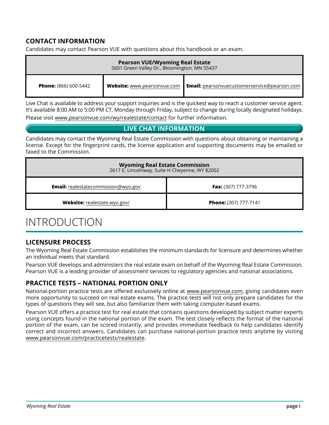## **CONTACT INFORMATION**

Candidates may contact Pearson VUE with questions about this handbook or an exam.

| <b>Pearson VUE/Wyoming Real Estate</b><br>5601 Green Valley Dr., Bloomington, MN 55437 |                             |                                                     |  |
|----------------------------------------------------------------------------------------|-----------------------------|-----------------------------------------------------|--|
| <b>Phone:</b> (866) 600-5442                                                           | Website: www.pearsonvue.com | <b>Email:</b> pearsonvuecustomerservice@pearson.com |  |

Live Chat is available to address your support inquiries and is the quickest way to reach a customer service agent. It's available 8:00 AM to 5:00 PM CT, Monday through Friday, subject to change during locally designated holidays. Please visit www.pearsonvue.com/wy/realestate/contact for further information.

## **LIVE CHAT INFORMATION**

Candidates may contact the Wyoming Real Estate Commission with questions about obtaining or maintaining a license. Except for the fingerprint cards, the license application and supporting documents may be emailed or faxed to the Commission.

| <b>Wyoming Real Estate Commission</b><br>2617 E. Lincolnway, Suite H Cheyenne, WY 82002 |                              |  |
|-----------------------------------------------------------------------------------------|------------------------------|--|
| <b>Email:</b> realestatecommission@wyo.gov                                              | <b>Fax:</b> (307) 777-3796   |  |
| Website: realestate.wyo.gov/                                                            | <b>Phone:</b> (307) 777-7141 |  |

## INTRODUCTION

## **LICENSURE PROCESS**

The Wyoming Real Estate Commission establishes the minimum standards for licensure and determines whether an individual meets that standard.

Pearson VUE develops and administers the real estate exam on behalf of the Wyoming Real Estate Commission. Pearson VUE is a leading provider of assessment services to regulatory agencies and national associations.

## **PRACTICE TESTS – NATIONAL PORTION ONLY**

National-portion practice tests are offered exclusively online at www.pearsonvue.com, giving candidates even more opportunity to succeed on real estate exams. The practice tests will not only prepare candidates for the types of questions they will see, but also familiarize them with taking computer-based exams.

Pearson VUE offers a practice test for real estate that contains questions developed by subject matter experts using concepts found in the national portion of the exam. The test closely reflects the format of the national portion of the exam, can be scored instantly, and provides immediate feedback to help candidates identify correct and incorrect answers. Candidates can purchase national-portion practice tests anytime by visiting www.pearsonvue.com/practicetests/realestate.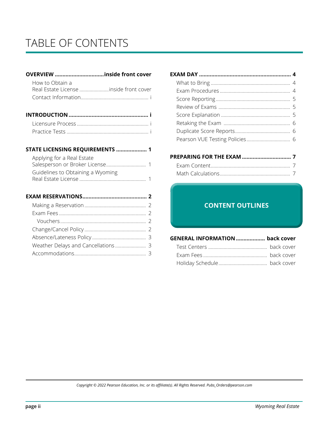## TABLE OF CONTENTS

### **OVERVIEW ................................inside front cover**

| How to Obtain a                        |  |
|----------------------------------------|--|
| Real Estate License inside front cover |  |
|                                        |  |

#### **STATE LICENSING REQUIREMENTS .................... 1**

| Applying for a Real Estate        |  |
|-----------------------------------|--|
| Guidelines to Obtaining a Wyoming |  |
|                                   |  |

#### **EXAM RESERVATIONS.......................................... 2**

## **EXAM DAY ............................................................ 4** What to Bring .............................................................. 4 Exam Procedures ....................................................... 4 Score Reporting .......................................................... 5 Review of Exams ........................................................ 5 Score Explanation ...................................................... 5 Retaking the Exam .................................................... 6 Duplicate Score Reports........................................... 6 Pearson VUE Testing Policies .................................. 6

## **PREPARING FOR THE EXAM ................................ 7** Exam Content.............................................................. 7 Math Calculations....................................................... 7

#### National Exam Content Outline for Salespersons and Brokers.................... Content Outlines pages 01-03 **CONTENT OUTLINES**

Salespersons and Brokers Content Outlines page 04

**CONTENT OUTLINES** 

| <b>GENERAL INFORMATION  back cover</b> |  |
|----------------------------------------|--|
|                                        |  |
|                                        |  |
|                                        |  |

*Copyright © 2022 Pearson Education, Inc. or its affiliate(s). All Rights Reserved. Pubs\_Orders@pearson.com*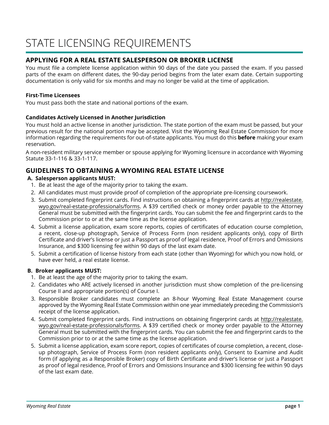## **APPLYING FOR A REAL ESTATE SALESPERSON OR BROKER LICENSE**

You must file a complete license application within 90 days of the date you passed the exam. If you passed parts of the exam on different dates, the 90-day period begins from the later exam date. Certain supporting documentation is only valid for six months and may no longer be valid at the time of application.

### **First-Time Licensees**

You must pass both the state and national portions of the exam.

#### **Candidates Actively Licensed in Another Jurisdiction**

You must hold an active license in another jurisdiction. The state portion of the exam must be passed, but your previous result for the national portion may be accepted. Visit the Wyoming Real Estate Commission for more information regarding the requirements for out-of-state applicants. You must do this **before** making your exam reservation.

A non-resident military service member or spouse applying for Wyoming licensure in accordance with Wyoming Statute 33-1-116 & 33-1-117.

## **GUIDELINES TO OBTAINING A WYOMING REAL ESTATE LICENSE**

### **A. Salesperson applicants MUST:**

- 1. Be at least the age of the majority prior to taking the exam.
- 2. All candidates must must provide proof of completion of the appropriate pre-licensing coursework.
- 3. Submit completed fingerprint cards. Find instructions on obtaining a fingerprint cards at http://realestate. wyo.gov/real-estate-professionals/forms. A \$39 certified check or money order payable to the Attorney General must be submitted with the fingerprint cards. You can submit the fee and fingerprint cards to the Commission prior to or at the same time as the license application.
- 4. Submit a license application, exam score reports, copies of certificates of education course completion, a recent, close-up photograph, Service of Process Form (non resident applicants only), copy of Birth Certificate and driver's license or just a Passport as proof of legal residence, Proof of Errors and Omissions Insurance, and \$300 licensing fee within 90 days of the last exam date.
- 5. Submit a certification of license history from each state (other than Wyoming) for which you now hold, or have ever held, a real estate license.

#### **B. Broker applicants MUST:**

- 1. Be at least the age of the majority prior to taking the exam.
- 2. Candidates who ARE actively licensed in another jurisdiction must show completion of the pre-licensing Course II and appropriate portion(s) of Course I.
- 3. Responsible Broker candidates must complete an 8-hour Wyoming Real Estate Management course approved by the Wyoming Real Estate Commission within one year immediately preceding the Commission's receipt of the license application.
- 4. Submit completed fingerprint cards. Find instructions on obtaining fingerprint cards at http://realestate. wyo.gov/real-estate-professionals/forms. A \$39 certified check or money order payable to the Attorney General must be submitted with the fingerprint cards. You can submit the fee and fingerprint cards to the Commission prior to or at the same time as the license application.
- 5. Submit a license application, exam score report, copies of certificates of course completion, a recent, closeup photograph, Service of Process Form (non resident applicants only), Consent to Examine and Audit form (if applying as a Responsible Broker) copy of Birth Certificate and driver's license or just a Passport as proof of legal residence, Proof of Errors and Omissions Insurance and \$300 licensing fee within 90 days of the last exam date.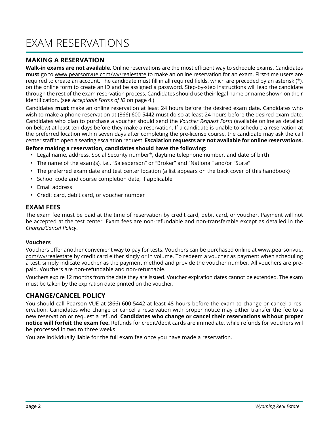## EXAM RESERVATIONS

## **MAKING A RESERVATION**

**Walk-in exams are not available.** Online reservations are the most efficient way to schedule exams. Candidates **must** go to www.pearsonvue.com/wy/realestate to make an online reservation for an exam. First-time users are required to create an account. The candidate must fill in all required fields, which are preceded by an asterisk (\*), on the online form to create an ID and be assigned a password. Step-by-step instructions will lead the candidate through the rest of the exam reservation process. Candidates should use their legal name or name shown on their identification. (see *Acceptable Forms of ID* on page 4.)

Candidates **must** make an online reservation at least 24 hours before the desired exam date. Candidates who wish to make a phone reservation at (866) 600-5442 must do so at least 24 hours before the desired exam date. Candidates who plan to purchase a voucher should send the *Voucher Request Form* (available online as detailed on below) at least ten days before they make a reservation. If a candidate is unable to schedule a reservation at the preferred location within seven days after completing the pre-license course, the candidate may ask the call center staff to open a seating escalation request. **Escalation requests are not available for online reservations.**

### **Before making a reservation, candidates should have the following:**

- Legal name, address, Social Security number\*, daytime telephone number, and date of birth
- The name of the exam(s), i.e., "Salesperson" or "Broker" and "National" and/or "State"
- The preferred exam date and test center location (a list appears on the back cover of this handbook)
- School code and course completion date, if applicable
- Email address
- Credit card, debit card, or voucher number

#### **EXAM FEES**

The exam fee must be paid at the time of reservation by credit card, debit card, or voucher. Payment will not be accepted at the test center. Exam fees are non-refundable and non-transferable except as detailed in the *Change/Cancel Policy*.

#### **Vouchers**

Vouchers offer another convenient way to pay for tests. Vouchers can be purchased online at www.pearsonvue. com/wy/realestate by credit card either singly or in volume. To redeem a voucher as payment when scheduling a test, simply indicate voucher as the payment method and provide the voucher number. All vouchers are prepaid. Vouchers are non-refundable and non-returnable.

Vouchers expire 12 months from the date they are issued. Voucher expiration dates cannot be extended. The exam must be taken by the expiration date printed on the voucher.

## **CHANGE/CANCEL POLICY**

You should call Pearson VUE at (866) 600-5442 at least 48 hours before the exam to change or cancel a reservation. Candidates who change or cancel a reservation with proper notice may either transfer the fee to a new reservation or request a refund. **Candidates who change or cancel their reservations without proper notice will forfeit the exam fee.** Refunds for credit/debit cards are immediate, while refunds for vouchers will be processed in two to three weeks.

You are individually liable for the full exam fee once you have made a reservation.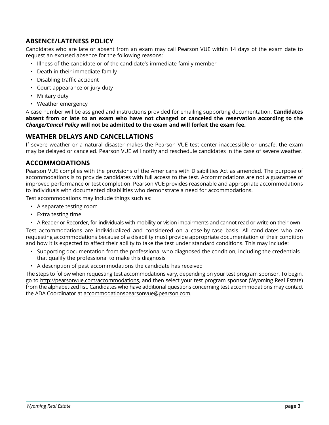## **ABSENCE/LATENESS POLICY**

Candidates who are late or absent from an exam may call Pearson VUE within 14 days of the exam date to request an excused absence for the following reasons:

- Illness of the candidate or of the candidate's immediate family member
- Death in their immediate family
- Disabling traffic accident
- Court appearance or jury duty
- Military duty
- Weather emergency

A case number will be assigned and instructions provided for emailing supporting documentation. **Candidates absent from or late to an exam who have not changed or canceled the reservation according to the**  *Change/Cancel Policy* **will not be admitted to the exam and will forfeit the exam fee.**

## **WEATHER DELAYS AND CANCELLATIONS**

If severe weather or a natural disaster makes the Pearson VUE test center inaccessible or unsafe, the exam may be delayed or canceled. Pearson VUE will notify and reschedule candidates in the case of severe weather.

## **ACCOMMODATIONS**

Pearson VUE complies with the provisions of the Americans with Disabilities Act as amended. The purpose of accommodations is to provide candidates with full access to the test. Accommodations are not a guarantee of improved performance or test completion. Pearson VUE provides reasonable and appropriate accommodations to individuals with documented disabilities who demonstrate a need for accommodations.

Test accommodations may include things such as:

- A separate testing room
- Extra testing time
- A Reader or Recorder, for individuals with mobility or vision impairments and cannot read or write on their own

Test accommodations are individualized and considered on a case-by-case basis. All candidates who are requesting accommodations because of a disability must provide appropriate documentation of their condition and how it is expected to affect their ability to take the test under standard conditions. This may include:

- Supporting documentation from the professional who diagnosed the condition, including the credentials that qualify the professional to make this diagnosis
- A description of past accommodations the candidate has received

The steps to follow when requesting test accommodations vary, depending on your test program sponsor. To begin, go to http://pearsonvue.com/accommodations, and then select your test program sponsor (Wyoming Real Estate) from the alphabetized list. Candidates who have additional questions concerning test accommodations may contact the ADA Coordinator at accommodationspearsonvue@pearson.com.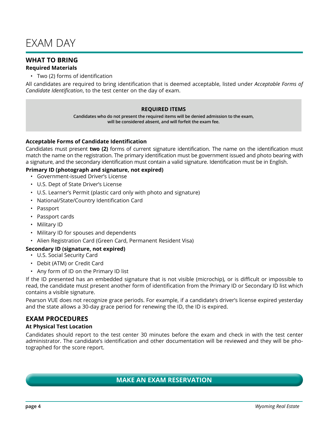## EXAM DAY

## **WHAT TO BRING**

### **Required Materials**

• Two (2) forms of identification

All candidates are required to bring identification that is deemed acceptable, listed under *Acceptable Forms of Candidate Identification*, to the test center on the day of exam.

#### **REQUIRED ITEMS**

**Candidates who do not present the required items will be denied admission to the exam, will be considered absent, and will forfeit the exam fee.**

#### **Acceptable Forms of Candidate Identification**

Candidates must present **two (2)** forms of current signature identification. The name on the identification must match the name on the registration. The primary identification must be government issued and photo bearing with a signature, and the secondary identification must contain a valid signature. Identification must be in English.

#### **Primary ID (photograph and signature, not expired)**

- Government-issued Driver's License
- U.S. Dept of State Driver's License
- U.S. Learner's Permit (plastic card only with photo and signature)
- National/State/Country Identification Card
- Passport
- Passport cards
- Military ID
- Military ID for spouses and dependents
- Alien Registration Card (Green Card, Permanent Resident Visa)

#### **Secondary ID (signature, not expired)**

- U.S. Social Security Card
- Debit (ATM) or Credit Card
- Any form of ID on the Primary ID list

If the ID presented has an embedded signature that is not visible (microchip), or is difficult or impossible to read, the candidate must present another form of identification from the Primary ID or Secondary ID list which contains a visible signature.

Pearson VUE does not recognize grace periods. For example, if a candidate's driver's license expired yesterday and the state allows a 30-day grace period for renewing the ID, the ID is expired.

## **EXAM PROCEDURES**

#### **At Physical Test Location**

Candidates should report to the test center 30 minutes before the exam and check in with the test center administrator. The candidate's identification and other documentation will be reviewed and they will be photographed for the score report.

## **MAKE AN EXAM RESERVATION**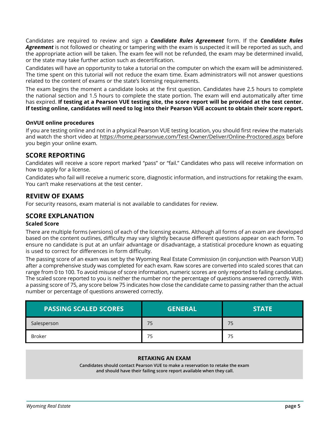Candidates are required to review and sign a *Candidate Rules Agreement* form. If the *Candidate Rules Agreement* is not followed or cheating or tampering with the exam is suspected it will be reported as such, and the appropriate action will be taken. The exam fee will not be refunded, the exam may be determined invalid, or the state may take further action such as decertification.

Candidates will have an opportunity to take a tutorial on the computer on which the exam will be administered. The time spent on this tutorial will not reduce the exam time. Exam administrators will not answer questions related to the content of exams or the state's licensing requirements.

The exam begins the moment a candidate looks at the first question. Candidates have 2.5 hours to complete the national section and 1.5 hours to complete the state portion. The exam will end automatically after time has expired. **If testing at a Pearson VUE testing site, the score report will be provided at the test center. If testing online, candidates will need to log into their Pearson VUE account to obtain their score report.**

#### **OnVUE online procedures**

If you are testing online and not in a physical Pearson VUE testing location, you should first review the materials and watch the short video at https://home.pearsonvue.com/Test-Owner/Deliver/Online-Proctored.aspx before you begin your online exam.

## **SCORE REPORTING**

Candidates will receive a score report marked "pass" or "fail." Candidates who pass will receive information on how to apply for a license.

Candidates who fail will receive a numeric score, diagnostic information, and instructions for retaking the exam. You can't make reservations at the test center.

### **REVIEW OF EXAMS**

For security reasons, exam material is not available to candidates for review.

### **SCORE EXPLANATION**

#### **Scaled Score**

There are multiple forms (versions) of each of the licensing exams. Although all forms of an exam are developed based on the content outlines, difficulty may vary slightly because different questions appear on each form. To ensure no candidate is put at an unfair advantage or disadvantage, a statistical procedure known as equating is used to correct for differences in form difficulty.

The passing score of an exam was set by the Wyoming Real Estate Commission (in conjunction with Pearson VUE) after a comprehensive study was completed for each exam. Raw scores are converted into scaled scores that can range from 0 to 100. To avoid misuse of score information, numeric scores are only reported to failing candidates. The scaled score reported to you is neither the number nor the percentage of questions answered correctly. With a passing score of 75, any score below 75 indicates how close the candidate came to passing rather than the actual number or percentage of questions answered correctly.

| <b>PASSING SCALED SCORES</b> | <b>GENERAL</b> | <b>STATE</b> |
|------------------------------|----------------|--------------|
| Salesperson                  | 75             | 75           |
| Broker                       |                | 75           |

#### **RETAKING AN EXAM**

**Candidates should contact Pearson VUE to make a reservation to retake the exam and should have their failing score report available when they call.**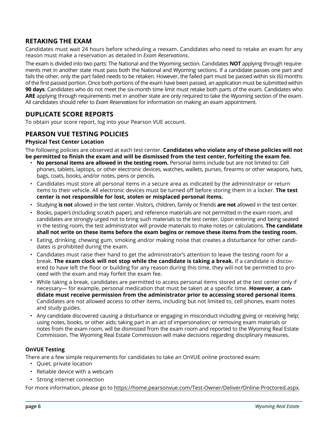## **RETAKING THE EXAM**

Candidates must wait 24 hours before scheduling a reexam. Candidates who need to retake an exam for any reason must make a reservation as detailed in *Exam Reservations*.

The exam is divided into two parts: The National and the Wyoming section. Candidates **NOT** applying through requirements met in another state must pass both the National and Wyoming sections. If a candidate passes one part and fails the other, only the part failed needs to be retaken. However, the failed part must be passed within six (6) months of the first passed portion. Once both portions of the exam have been passed, an application must be submitted within **90 days**. Candidates who do not meet the six-month time limit must retake both parts of the exam. Candidates who **ARE** applying through requirements met in another state are only required to take the Wyoming section of the exam. All candidates should refer to *Exam Reservations* for information on making an exam appointment.

## **DUPLICATE SCORE REPORTS**

To obtain your score report, log into your Pearson VUE account.

## **PEARSON VUE TESTING POLICIES**

#### **Physical Test Center Location**

The following policies are observed at each test center. **Candidates who violate any of these policies will not be permitted to finish the exam and will be dismissed from the test center, forfeiting the exam fee.**

- **No personal items are allowed in the testing room.** Personal items include but are not limited to: Cell phones, tablets, laptops, or other electronic devices, watches, wallets, purses, firearms or other weapons, hats, bags, coats, books, and/or notes, pens or pencils.
- Candidates must store all personal items in a secure area as indicated by the administrator or return items to their vehicle. All electronic devices must be turned off before storing them in a locker. **The test center is not responsible for lost, stolen or misplaced personal items.**
- Studying **is not** allowed in the test center. Visitors, children, family or friends **are not** allowed in the test center.
- Books, papers (including scratch paper), and reference materials are not permitted in the exam room, and candidates are strongly urged not to bring such materials to the test center. Upon entering and being seated in the testing room, the test administrator will provide materials to make notes or calculations. **The candidate shall not write on these items before the exam begins or remove these items from the testing room.**
- Eating, drinking, chewing gum, smoking and/or making noise that creates a disturbance for other candidates is prohibited during the exam.
- Candidates must raise their hand to get the administrator's attention to leave the testing room for a break. **The exam clock will not stop while the candidate is taking a break.** If a candidate is discovered to have left the floor or building for any reason during this time, they will not be permitted to proceed with the exam and may forfeit the exam fee.
- While taking a break, candidates are permitted to access personal items stored at the test center only if necessary— for example, personal medication that must be taken at a specific time. **However, a candidate must receive permission from the administrator prior to accessing stored personal items**. Candidates are not allowed access to other items, including but not limited to, cell phones, exam notes and study guides.
- Any candidate discovered causing a disturbance or engaging in misconduct including giving or receiving help; using notes, books, or other aids; taking part in an act of impersonation; or removing exam materials or notes from the exam room, will be dismissed from the exam room and reported to the Wyoming Real Estate Commission. The Wyoming Real Estate Commission will make decisions regarding disciplinary measures.

#### **OnVUE Testing**

There are a few simple requirements for candidates to take an OnVUE online proctored exam:

- Quiet, private location
- Reliable device with a webcam
- Strong internet connection

For more information, please go to https://home.pearsonvue.com/Test-Owner/Deliver/Online-Proctored.aspx.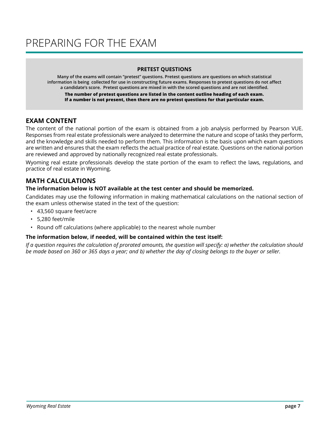## PREPARING FOR THE EXAM

#### **PRETEST QUESTIONS**

**Many of the exams will contain "pretest" questions. Pretest questions are questions on which statistical information is being collected for use in constructing future exams. Responses to pretest questions do not affect a candidate's score. Pretest questions are mixed in with the scored questions and are not identified.**

**The number of pretest questions are listed in the content outline heading of each exam. If a number is not present, then there are no pretest questions for that particular exam.**

## **EXAM CONTENT**

The content of the national portion of the exam is obtained from a job analysis performed by Pearson VUE. Responses from real estate professionals were analyzed to determine the nature and scope of tasks they perform, and the knowledge and skills needed to perform them. This information is the basis upon which exam questions are written and ensures that the exam reflects the actual practice of real estate. Questions on the national portion are reviewed and approved by nationally recognized real estate professionals.

Wyoming real estate professionals develop the state portion of the exam to reflect the laws, regulations, and practice of real estate in Wyoming.

## **MATH CALCULATIONS**

#### **The information below is NOT available at the test center and should be memorized.**

Candidates may use the following information in making mathematical calculations on the national section of the exam unless otherwise stated in the text of the question:

- 43,560 square feet/acre
- 5,280 feet/mile
- Round off calculations (where applicable) to the nearest whole number

#### **The information below, if needed, will be contained within the test itself:**

*If a question requires the calculation of prorated amounts, the question will specify: a) whether the calculation should be made based on 360 or 365 days a year; and b) whether the day of closing belongs to the buyer or seller.*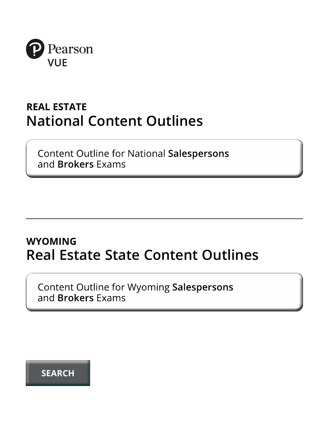

## **REAL ESTATE National Content Outlines**

**Content Outline for National Salespersons** and Brokers Exams

## **WYOMING Real Estate State Content Outlines**

Content Outline for Wyoming Salespersons and **Brokers** Exams

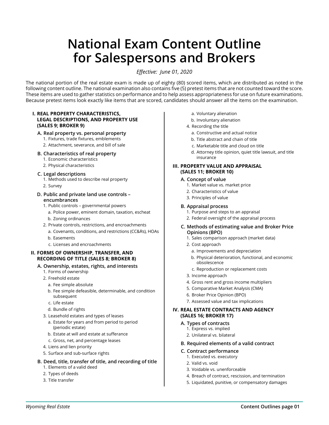## **National Exam Content Outline for Salespersons and Brokers**

*Effective: June 01, 2020*

The national portion of the real estate exam is made up of eighty (80) scored items, which are distributed as noted in the following content outline. The national examination also contains five (5) pretest items that are not counted toward the score. These items are used to gather statistics on performance and to help assess appropriateness for use on future examinations. Because pretest items look exactly like items that are scored, candidates should answer all the items on the examination.

#### **I. REAL PROPERTY CHARACTERISTICS, LEGAL DESCRIPTIONS, AND PROPERTY USE (SALES 9; BROKER 9)**

#### **A. Real property vs. personal property**

- 1. Fixtures, trade fixtures, emblements
- 2. Attachment, severance, and bill of sale
- **B. Characteristics of real property**
	- 1. Economic characteristics
	- 2. Physical characteristics

#### **C. Legal descriptions**

- 1. Methods used to describe real property
- 2. Survey

#### **D. Public and private land use controls – encumbrances**

- 1. Public controls governmental powers
	- a. Police power, eminent domain, taxation, escheat
	- b. Zoning ordinances
- 2. Private controls, restrictions, and encroachments
	- a. Covenants, conditions, and restrictions (CC&Rs), HOAs
	- b. Easements
	- c. Licenses and encroachments

#### **II. FORMS OF OWNERSHIP, TRANSFER, AND RECORDING OF TITLE (SALES 8; BROKER 8)**

#### **A. Ownership, estates, rights, and interests**

- 1. Forms of ownership
- 2. Freehold estate
	- a. Fee simple absolute
	- b. Fee simple defeasible, determinable, and condition subsequent
	- c. Life estate
	- d. Bundle of rights
- 3. Leasehold estates and types of leases
	- a. Estate for years and from period to period (periodic estate)
	- b. Estate at will and estate at sufferance
	- c. Gross, net, and percentage leases
- 4. Liens and lien priority
- 5. Surface and sub-surface rights

#### **B. Deed, title, transfer of title, and recording of title**

- 1. Elements of a valid deed
- 2. Types of deeds
- 3. Title transfer
- a. Voluntary alienation
- b. Involuntary alienation
- 4. Recording the title
	- a. Constructive and actual notice
	- b. Title abstract and chain of title
	- c. Marketable title and cloud on title
	- d. Attorney title opinion, quiet title lawsuit, and title insurance

#### **III. PROPERTY VALUE AND APPRAISAL (SALES 11; BROKER 10)**

#### **A. Concept of value**

- 1. Market value vs. market price
- 2. Characteristics of value
- 3. Principles of value

#### **B. Appraisal process**

- 1. Purpose and steps to an appraisal
- 2. Federal oversight of the appraisal process
- **C. Methods of estimating value and Broker Price Opinions (BPO)**
	- 1. Sales comparison approach (market data)
	- 2. Cost approach
		- a. Improvements and depreciation
		- b. Physical deterioration, functional, and economic obsolescence
		- c. Reproduction or replacement costs
	- 3. Income approach
	- 4. Gross rent and gross income multipliers
	- 5. Comparative Market Analysis (CMA)
	- 6. Broker Price Opinion (BPO)
	- 7. Assessed value and tax implications

#### **IV. REAL ESTATE CONTRACTS AND AGENCY (SALES 16; BROKER 17)**

#### **A. Types of contracts**

- 1. Express vs. implied
- 2. Unilateral vs. bilateral
- **B. Required elements of a valid contract**
- **C. Contract performance** 
	- 1. Executed vs. executory
	- 2. Valid vs. void
	- 3. Voidable vs. unenforceable
	- 4. Breach of contract, rescission, and termination
	- 5. Liquidated, punitive, or compensatory damages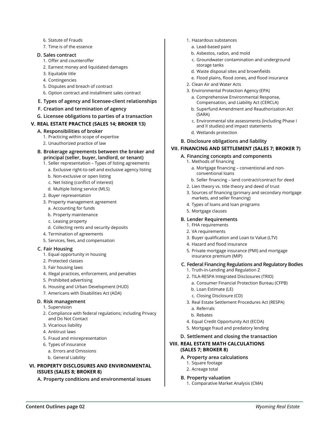- 6. Statute of Frauds
- 7. Time is of the essence

#### **D. Sales contract**

- 1. Offer and counteroffer
- 2. Earnest money and liquidated damages
- 3. Equitable title
- 4. Contingencies
- 5. Disputes and breach of contract
- 6. Option contract and installment sales contract

#### **E. Types of agency and licensee-client relationships**

- **F. Creation and termination of agency**
- **G. Licensee obligations to parties of a transaction**

#### **V. REAL ESTATE PRACTICE (SALES 14; BROKER 13)**

#### **A. Responsibilities of broker**

- 1. Practicing within scope of expertise
- 2. Unauthorized practice of law
- **B. Brokerage agreements between the broker and principal (seller, buyer, landlord, or tenant)**
	- 1. Seller representation Types of listing agreements
		- a. Exclusive right-to-sell and exclusive agency listing
		- b. Non-exclusive or open listing
		- c. Net listing (conflict of interest)
		- d. Multiple listing service (MLS)
	- 2. Buyer representation
	- 3. Property management agreement
		- a. Accounting for funds
		- b. Property maintenance
		- c. Leasing property
		- d. Collecting rents and security deposits
	- 4. Termination of agreements
	- 5. Services, fees, and compensation

#### **C. Fair Housing**

- 1. Equal opportunity in housing
- 2. Protected classes
- 3. Fair housing laws
- 4. Illegal practices, enforcement, and penalties
- 5. Prohibited advertising
- 6. Housing and Urban Development (HUD)
- 7. Americans with Disabilities Act (ADA)

#### **D. Risk management**

- 1. Supervision
- 2. Compliance with federal regulations; including Privacy and Do Not Contact
- 3. Vicarious liability
- 4. Antitrust laws
- 5. Fraud and misrepresentation
- 6. Types of insurance
	- a. Errors and Omissions
	- b. General Liability

#### **VI. PROPERTY DISCLOSURES AND ENVIRONMENTAL ISSUES (SALES 8; BROKER 8)**

**A. Property conditions and environmental issues**

- 1. Hazardous substances
	- a. Lead-based paint
	- b. Asbestos, radon, and mold
	- c. Groundwater contamination and underground storage tanks
	- d. Waste disposal sites and brownfields
	- e. Flood plains, flood zones, and flood insurance
- 2. Clean Air and Water Acts
- 3. Environmental Protection Agency (EPA)
	- a. Comprehensive Environmental Response, Compensation, and Liability Act (CERCLA)
	- b. Superfund Amendment and Reauthorization Act (SARA)
	- c. Environmental site assessments (including Phase I and II studies) and impact statements
- d. Wetlands protection
- **B. Disclosure obligations and liability**

#### **VII. FINANCING AND SETTLEMENT (SALES 7; BROKER 7)**

#### **A. Financing concepts and components**

- 1. Methods of financing
	- a. Mortgage financing conventional and nonconventional loans
- b. Seller financing land contract/contract for deed
- 2. Lien theory vs. title theory and deed of trust
- 3. Sources of financing (primary and secondary mortgage markets, and seller financing)
- 4. Types of loans and loan programs
- 5. Mortgage clauses

#### **B. Lender Requirements**

- 1. FHA requirements
- 2. VA requirements
- 3. Buyer qualification and Loan to Value (LTV)
- 4. Hazard and flood insurance
- 5. Private mortgage insurance (PMI) and mortgage insurance premium (MIP)

#### **C. Federal Financing Regulations and Regulatory Bodies**

- 1. Truth-in-Lending and Regulation Z
- 2. TILA-RESPA Integrated Disclosures (TRID)
	- a. Consumer Financial Protection Bureau (CFPB)
	- b. Loan Estimate (LE)
	- c. Closing Disclosure (CD)
- 3. Real Estate Settlement Procedures Act (RESPA)
	- a. Referrals
	- b. Rebates
- 4. Equal Credit Opportunity Act (ECOA)
- 5. Mortgage fraud and predatory lending
- **D. Settlement and closing the transaction**

#### **VIII. REAL ESTATE MATH CALCULATIONS (SALES 7; BROKER 8)**

- **A. Property area calculations**
	- 1. Square footage
	- 2. Acreage total

#### **B. Property valuation**

1. Comparative Market Analysis (CMA)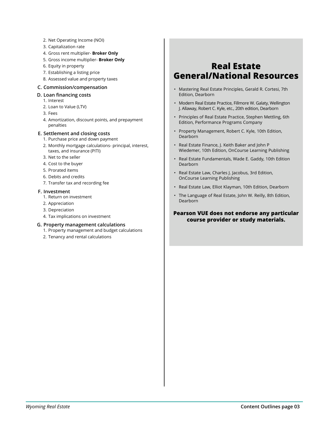- 2. Net Operating Income (NOI)
- 3. Capitalization rate
- 4. Gross rent multiplier- **Broker Only**
- 5. Gross income multiplier- **Broker Only**
- 6. Equity in property
- 7. Establishing a listing price
- 8. Assessed value and property taxes

#### **C. Commission/compensation**

- **D. Loan financing costs**
	- 1. Interest
	- 2. Loan to Value (LTV)
	- 3. Fees
	- 4. Amortization, discount points, and prepayment penalties

#### **E. Settlement and closing costs**

- 1. Purchase price and down payment
- 2. Monthly mortgage calculations- principal, interest, taxes, and insurance (PITI)
- 3. Net to the seller
- 4. Cost to the buyer
- 5. Prorated items
- 6. Debits and credits
- 7. Transfer tax and recording fee

#### **F. Investment**

- 1. Return on investment
- 2. Appreciation
- 3. Depreciation
- 4. Tax implications on investment

#### **G. Property management calculations**

- 1. Property management and budget calculations
- 2. Tenancy and rental calculations

## **Real Estate General/National Resources**

- Mastering Real Estate Principles, Gerald R. Cortesi, 7th Edition, Dearborn
- Modern Real Estate Practice, Fillmore W. Galaty, Wellington J. Allaway, Robert C. Kyle, etc., 20th edition, Dearborn
- Principles of Real Estate Practice, Stephen Mettling, 6th Edition, Performance Programs Company
- Property Management, Robert C. Kyle, 10th Edition, Dearborn
- Real Estate Finance, J. Keith Baker and John P Wiedemer, 10th Edition, OnCourse Learning Publishing
- Real Estate Fundamentals, Wade E. Gaddy, 10th Edition Dearborn
- Real Estate Law, Charles J. Jacobus, 3rd Edition, OnCourse Learning Publishing
- Real Estate Law, Elliot Klayman, 10th Edition, Dearborn
- The Language of Real Estate, John W. Reilly, 8th Edition, Dearborn

#### **Pearson VUE does not endorse any particular course provider or study materials.**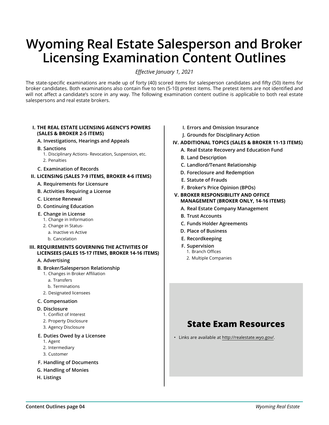## **Wyoming Real Estate Salesperson and Broker Licensing Examination Content Outlines**

*Effective January 1, 2021*

The state-specific examinations are made up of forty (40) scored items for salesperson candidates and fifty (50) items for broker candidates. Both examinations also contain five to ten (5-10) pretest items. The pretest items are not identified and will not affect a candidate's score in any way. The following examination content outline is applicable to both real estate salespersons and real estate brokers.

#### **I. THE REAL ESTATE LICENSING AGENCY'S POWERS (SALES & BROKER 2-5 ITEMS)**

- **A. Investigations, Hearings and Appeals**
- **B. Sanctions**
	- 1. Disciplinary Actions- Revocation, Suspension, etc. 2. Penalties
- **C. Examination of Records**

#### **II. LICENSING (SALES 7-9 ITEMS, BROKER 4-6 ITEMS)**

- **A. Requirements for Licensure**
- **B. Activities Requiring a License**
- **C. License Renewal**
- **D. Continuing Education**
- **E. Change in License**
	- 1. Change in Information
	- 2. Change in Status
		- a. Inactive vs Active
	- b. Cancelation

#### **III. REQUIREMENTS GOVERNING THE ACTIVITIES OF LICENSEES (SALES 15-17 ITEMS, BROKER 14-16 ITEMS)**

#### **A. Advertising**

- **B. Broker/Salesperson Relationship**
	- 1. Changes in Broker Affiliation
	- a. Transfers
	- b. Terminations
	- 2. Designated licensees

#### **C. Compensation**

- **D. Disclosure**
	- 1. Conflict of Interest
	- 2. Property Disclosure
	- 3. Agency Disclosure

#### **E. Duties Owed by a Licensee**

- 1. Agent
- 2. Intermediary
- 3. Customer
- **F. Handling of Documents**
- **G. Handling of Monies**
- **H. Listings**
- **I. Errors and Omission Insurance**
- **J. Grounds for Disciplinary Action**
- **IV. ADDITIONAL TOPICS (SALES & BROKER 11-13 ITEMS)**
	- **A. Real Estate Recovery and Education Fund**
	- **B. Land Description**
	- **C. Landlord/Tenant Relationship**
	- **D. Foreclosure and Redemption**
	- **E. Statute of Frauds**
	- **F. Broker's Price Opinion (BPOs)**
- **V. BROKER RESPONSIBILITY AND OFFICE MANAGEMENT (BROKER ONLY, 14-16 ITEMS)**
	- **A. Real Estate Company Management**
	- **B. Trust Accounts**
	- **C. Funds Holder Agreements**
	- **D. Place of Business**
	- **E. Recordkeeping**
	- **F. Supervision** 1. Branch Offices
		- 2. Multiple Companies

## **State Exam Resources**

• Links are available at http://realestate.wyo.gov/.